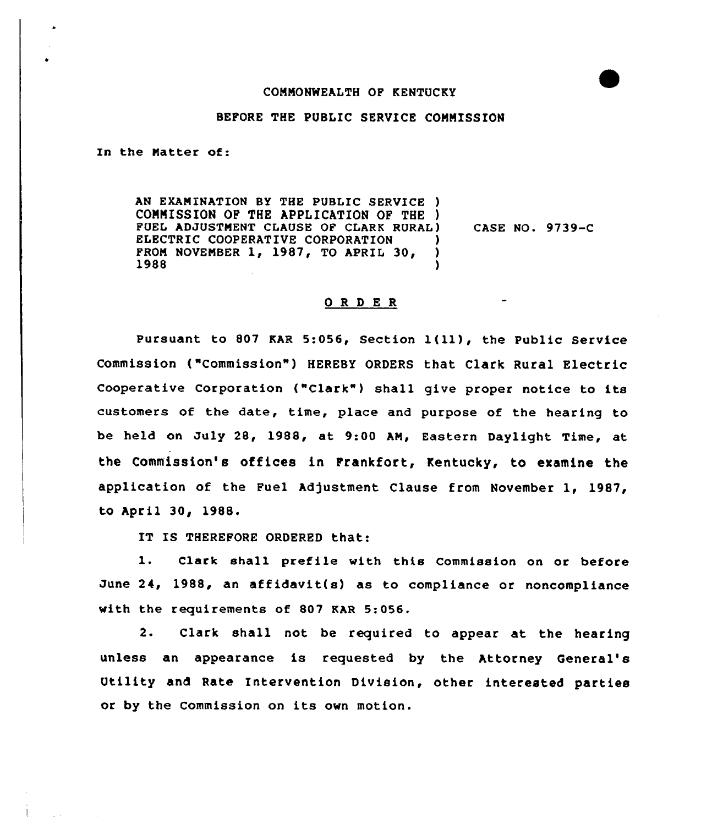## COMMONWEALTH OF KENTUCKY

## BEFORE THE PUBLlC SERVICE COMMISSION

In the Natter of:

AN EXAMINATION BY THE PUBLIC SERVICE ) COMMISSION OF THE APPLICATION OF THE ) FUEL ADJUSTMENT CLAUSE OP CLARK RURAL) ELECTRIC COOPERATIVE CORPORATION FROM NOVEMBER 1, 1987, TO APRIL 30, 1988 1988 ) CASE NO. 9739-C

## 0 R <sup>D</sup> E R

Pursuant to <sup>807</sup> KAR 5:056, Section l(ll), the Public Service Commission ("Commission") HEREBY ORDERS that Clark Rural Electric Cooperative Corporation ("Clark") shall give proper notice to its customers of the date, time, place and purpose of the hearing to be held on July 28, 1988, at 9:00 AM, Eastern Daylight Time, at the Commission's offices in Frankfort, Kentucky, to examine the application of the Fuel Adjustment Clause from November 1, 1987, to April 30, 1988.

IT IS THEREFORE ORDERED that:

1. Clark shall prefile with this Commission on or before June 24, 1988, an affidavit(s) as to compliance or noncompliance with the requirements of 807 KAR 5:056.

2. Clark shall not be required to appear at the hearing unless an appearance is requested by the Attorney General' Utility and Rate Intervention Division, other interested parties or by the Commission on its own motion.